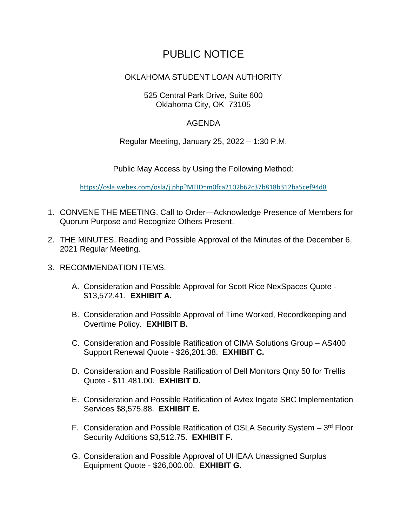## PUBLIC NOTICE

## OKLAHOMA STUDENT LOAN AUTHORITY

## 525 Central Park Drive, Suite 600 Oklahoma City, OK 73105

## AGENDA

Regular Meeting, January 25, 2022 – 1:30 P.M.

Public May Access by Using the Following Method:

[https://osla.webex.com/osla/j.php?MTID=m0fca2102b62c37b818b312ba5cef94d8](https://urldefense.proofpoint.com/v2/url?u=https-3A__osla.webex.com_osla_j.php-3FMTID-3Dm0fca2102b62c37b818b312ba5cef94d8&d=DwMGaQ&c=euGZstcaTDllvimEN8b7jXrwqOf-v5A_CdpgnVfiiMM&r=s9SO90rVKZyBvZipALf1Sw&m=mNKVLeAl2zASCemZZ6R5LHHt_hLS-I_bIg2yCjVRVpo&s=Fiw5NlNzgTHI17E2R-PPLfnTbJiiEMv-5jgyKG-RP_0&e=)

- 1. CONVENE THE MEETING. Call to Order—Acknowledge Presence of Members for Quorum Purpose and Recognize Others Present.
- 2. THE MINUTES. Reading and Possible Approval of the Minutes of the December 6, 2021 Regular Meeting.
- 3. RECOMMENDATION ITEMS.
	- A. Consideration and Possible Approval for Scott Rice NexSpaces Quote \$13,572.41. **EXHIBIT A.**
	- B. Consideration and Possible Approval of Time Worked, Recordkeeping and Overtime Policy. **EXHIBIT B.**
	- C. Consideration and Possible Ratification of CIMA Solutions Group AS400 Support Renewal Quote - \$26,201.38. **EXHIBIT C.**
	- D. Consideration and Possible Ratification of Dell Monitors Qnty 50 for Trellis Quote - \$11,481.00. **EXHIBIT D.**
	- E. Consideration and Possible Ratification of Avtex Ingate SBC Implementation Services \$8,575.88. **EXHIBIT E.**
	- F. Consideration and Possible Ratification of OSLA Security System 3<sup>rd</sup> Floor Security Additions \$3,512.75. **EXHIBIT F.**
	- G. Consideration and Possible Approval of UHEAA Unassigned Surplus Equipment Quote - \$26,000.00. **EXHIBIT G.**